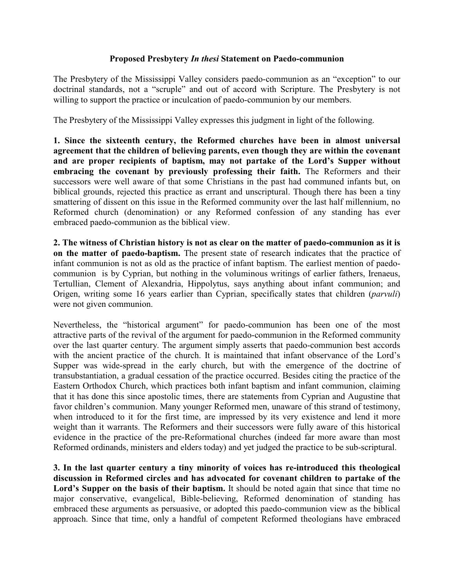## **Proposed Presbytery** *In thesi* **Statement on Paedo-communion**

The Presbytery of the Mississippi Valley considers paedo-communion as an "exception" to our doctrinal standards, not a "scruple" and out of accord with Scripture. The Presbytery is not willing to support the practice or inculcation of paedo-communion by our members.

The Presbytery of the Mississippi Valley expresses this judgment in light of the following.

**1. Since the sixteenth century, the Reformed churches have been in almost universal agreement that the children of believing parents, even though they are within the covenant and are proper recipients of baptism, may not partake of the Lord's Supper without embracing the covenant by previously professing their faith.** The Reformers and their successors were well aware of that some Christians in the past had communed infants but, on biblical grounds, rejected this practice as errant and unscriptural. Though there has been a tiny smattering of dissent on this issue in the Reformed community over the last half millennium, no Reformed church (denomination) or any Reformed confession of any standing has ever embraced paedo-communion as the biblical view.

**2. The witness of Christian history is not as clear on the matter of paedo-communion as it is on the matter of paedo-baptism.** The present state of research indicates that the practice of infant communion is not as old as the practice of infant baptism. The earliest mention of paedocommunion is by Cyprian, but nothing in the voluminous writings of earlier fathers, Irenaeus, Tertullian, Clement of Alexandria, Hippolytus, says anything about infant communion; and Origen, writing some 16 years earlier than Cyprian, specifically states that children (*parvuli*) were not given communion.

Nevertheless, the "historical argument" for paedo-communion has been one of the most attractive parts of the revival of the argument for paedo-communion in the Reformed community over the last quarter century. The argument simply asserts that paedo-communion best accords with the ancient practice of the church. It is maintained that infant observance of the Lord's Supper was wide-spread in the early church, but with the emergence of the doctrine of transubstantiation, a gradual cessation of the practice occurred. Besides citing the practice of the Eastern Orthodox Church, which practices both infant baptism and infant communion, claiming that it has done this since apostolic times, there are statements from Cyprian and Augustine that favor children's communion. Many younger Reformed men, unaware of this strand of testimony, when introduced to it for the first time, are impressed by its very existence and lend it more weight than it warrants. The Reformers and their successors were fully aware of this historical evidence in the practice of the pre-Reformational churches (indeed far more aware than most Reformed ordinands, ministers and elders today) and yet judged the practice to be sub-scriptural.

**3. In the last quarter century a tiny minority of voices has re-introduced this theological discussion in Reformed circles and has advocated for covenant children to partake of the** Lord's Supper on the basis of their baptism. It should be noted again that since that time no major conservative, evangelical, Bible-believing, Reformed denomination of standing has embraced these arguments as persuasive, or adopted this paedo-communion view as the biblical approach. Since that time, only a handful of competent Reformed theologians have embraced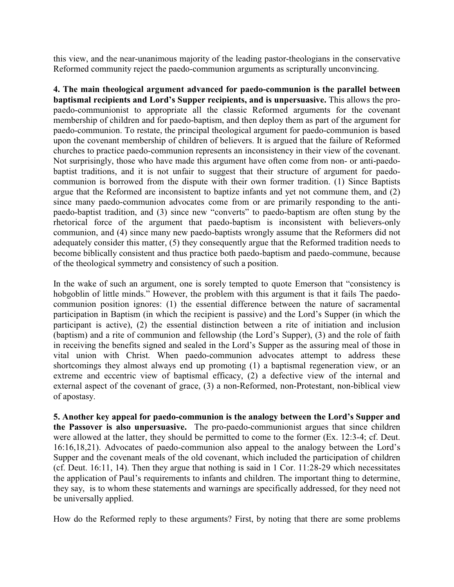this view, and the near-unanimous majority of the leading pastor-theologians in the conservative Reformed community reject the paedo-communion arguments as scripturally unconvincing.

**4. The main theological argument advanced for paedo-communion is the parallel between baptismal recipients and Lord's Supper recipients, and is unpersuasive.** This allows the propaedo-communionist to appropriate all the classic Reformed arguments for the covenant membership of children and for paedo-baptism, and then deploy them as part of the argument for paedo-communion. To restate, the principal theological argument for paedo-communion is based upon the covenant membership of children of believers. It is argued that the failure of Reformed churches to practice paedo-communion represents an inconsistency in their view of the covenant. Not surprisingly, those who have made this argument have often come from non- or anti-paedobaptist traditions, and it is not unfair to suggest that their structure of argument for paedocommunion is borrowed from the dispute with their own former tradition. (1) Since Baptists argue that the Reformed are inconsistent to baptize infants and yet not commune them, and (2) since many paedo-communion advocates come from or are primarily responding to the antipaedo-baptist tradition, and (3) since new "converts" to paedo-baptism are often stung by the rhetorical force of the argument that paedo-baptism is inconsistent with believers-only communion, and (4) since many new paedo-baptists wrongly assume that the Reformers did not adequately consider this matter, (5) they consequently argue that the Reformed tradition needs to become biblically consistent and thus practice both paedo-baptism and paedo-commune, because of the theological symmetry and consistency of such a position.

In the wake of such an argument, one is sorely tempted to quote Emerson that "consistency is hobgoblin of little minds." However, the problem with this argument is that it fails The paedocommunion position ignores: (1) the essential difference between the nature of sacramental participation in Baptism (in which the recipient is passive) and the Lord's Supper (in which the participant is active), (2) the essential distinction between a rite of initiation and inclusion (baptism) and a rite of communion and fellowship (the Lord's Supper), (3) and the role of faith in receiving the benefits signed and sealed in the Lord's Supper as the assuring meal of those in vital union with Christ. When paedo-communion advocates attempt to address these shortcomings they almost always end up promoting (1) a baptismal regeneration view, or an extreme and eccentric view of baptismal efficacy, (2) a defective view of the internal and external aspect of the covenant of grace, (3) a non-Reformed, non-Protestant, non-biblical view of apostasy.

**5. Another key appeal for paedo-communion is the analogy between the Lord's Supper and the Passover is also unpersuasive.** The pro-paedo-communionist argues that since children were allowed at the latter, they should be permitted to come to the former (Ex. 12:3-4; cf. Deut. 16:16,18,21). Advocates of paedo-communion also appeal to the analogy between the Lord's Supper and the covenant meals of the old covenant, which included the participation of children (cf. Deut. 16:11, 14). Then they argue that nothing is said in 1 Cor. 11:28-29 which necessitates the application of Paul's requirements to infants and children. The important thing to determine, they say, is to whom these statements and warnings are specifically addressed, for they need not be universally applied.

How do the Reformed reply to these arguments? First, by noting that there are some problems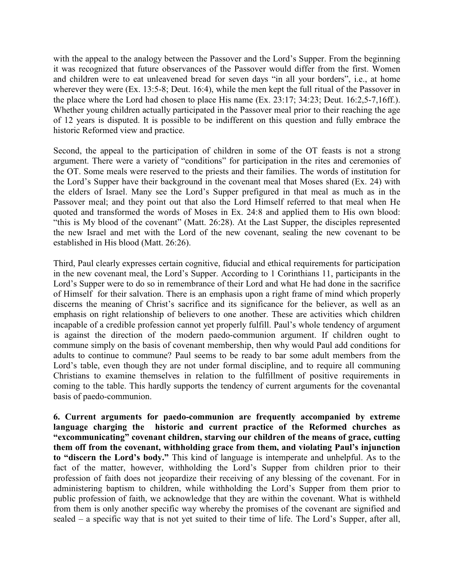with the appeal to the analogy between the Passover and the Lord's Supper. From the beginning it was recognized that future observances of the Passover would differ from the first. Women and children were to eat unleavened bread for seven days "in all your borders", i.e., at home wherever they were (Ex. 13:5-8; Deut. 16:4), while the men kept the full ritual of the Passover in the place where the Lord had chosen to place His name (Ex. 23:17; 34:23; Deut. 16:2,5-7,16ff.). Whether young children actually participated in the Passover meal prior to their reaching the age of 12 years is disputed. It is possible to be indifferent on this question and fully embrace the historic Reformed view and practice.

Second, the appeal to the participation of children in some of the OT feasts is not a strong argument. There were a variety of "conditions" for participation in the rites and ceremonies of the OT. Some meals were reserved to the priests and their families. The words of institution for the Lord's Supper have their background in the covenant meal that Moses shared (Ex. 24) with the elders of Israel. Many see the Lord's Supper prefigured in that meal as much as in the Passover meal; and they point out that also the Lord Himself referred to that meal when He quoted and transformed the words of Moses in Ex. 24:8 and applied them to His own blood: "this is My blood of the covenant" (Matt. 26:28). At the Last Supper, the disciples represented the new Israel and met with the Lord of the new covenant, sealing the new covenant to be established in His blood (Matt. 26:26).

Third, Paul clearly expresses certain cognitive, fiducial and ethical requirements for participation in the new covenant meal, the Lord's Supper. According to 1 Corinthians 11, participants in the Lord's Supper were to do so in remembrance of their Lord and what He had done in the sacrifice of Himself for their salvation. There is an emphasis upon a right frame of mind which properly discerns the meaning of Christ's sacrifice and its significance for the believer, as well as an emphasis on right relationship of believers to one another. These are activities which children incapable of a credible profession cannot yet properly fulfill. Paul's whole tendency of argument is against the direction of the modern paedo-communion argument. If children ought to commune simply on the basis of covenant membership, then why would Paul add conditions for adults to continue to commune? Paul seems to be ready to bar some adult members from the Lord's table, even though they are not under formal discipline, and to require all communing Christians to examine themselves in relation to the fulfillment of positive requirements in coming to the table. This hardly supports the tendency of current arguments for the covenantal basis of paedo-communion.

**6. Current arguments for paedo-communion are frequently accompanied by extreme language charging the historic and current practice of the Reformed churches as "excommunicating" covenant children, starving our children of the means of grace, cutting them off from the covenant, withholding grace from them, and violating Paul's injunction to "discern the Lord's body."** This kind of language is intemperate and unhelpful. As to the fact of the matter, however, withholding the Lord's Supper from children prior to their profession of faith does not jeopardize their receiving of any blessing of the covenant. For in administering baptism to children, while withholding the Lord's Supper from them prior to public profession of faith, we acknowledge that they are within the covenant. What is withheld from them is only another specific way whereby the promises of the covenant are signified and sealed – a specific way that is not yet suited to their time of life. The Lord's Supper, after all,